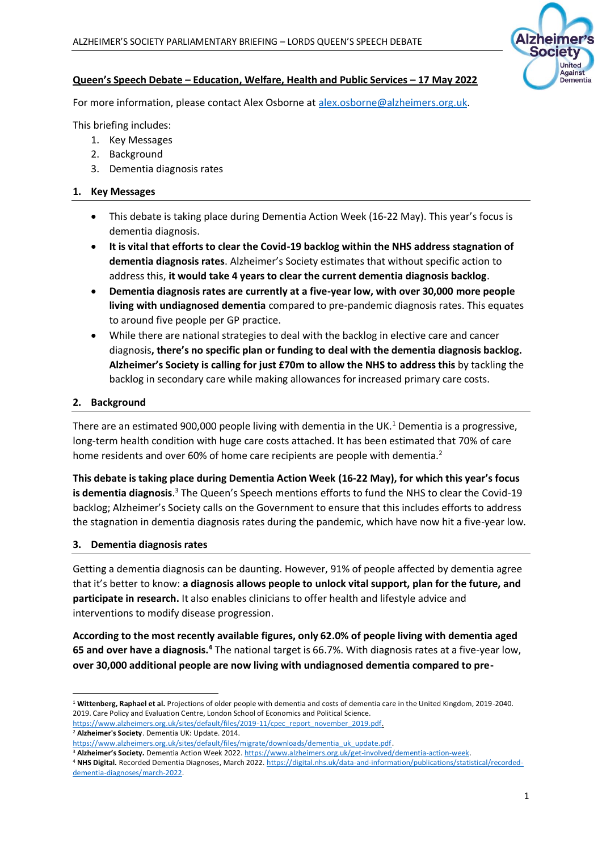

## **Queen's Speech Debate – Education, Welfare, Health and Public Services – 17 May 2022**

For more information, please contact Alex Osborne at [alex.osborne@alzheimers.org.uk.](mailto:alex.osborne@alzheimers.org.uk)

This briefing includes:

- 1. Key Messages
- 2. Background
- 3. Dementia diagnosis rates

### **1. Key Messages**

- This debate is taking place during Dementia Action Week (16-22 May). This year's focus is dementia diagnosis.
- **It is vital that efforts to clear the Covid-19 backlog within the NHS address stagnation of dementia diagnosis rates**. Alzheimer's Society estimates that without specific action to address this, **it would take 4 years to clear the current dementia diagnosis backlog**.
- **Dementia diagnosis rates are currently at a five-year low, with over 30,000 more people living with undiagnosed dementia** compared to pre-pandemic diagnosis rates. This equates to around five people per GP practice.
- While there are national strategies to deal with the backlog in elective care and cancer diagnosis**, there's no specific plan or funding to deal with the dementia diagnosis backlog. Alzheimer's Society is calling for just £70m to allow the NHS to address this** by tackling the backlog in secondary care while making allowances for increased primary care costs.

### **2. Background**

There are an estimated 900,000 people living with dementia in the UK.<sup>1</sup> Dementia is a progressive, long-term health condition with huge care costs attached. It has been estimated that 70% of care home residents and over 60% of home care recipients are people with dementia.<sup>2</sup>

**This debate is taking place during Dementia Action Week (16-22 May), for which this year's focus**  is dementia diagnosis.<sup>3</sup> The Queen's Speech mentions efforts to fund the NHS to clear the Covid-19 backlog; Alzheimer's Society calls on the Government to ensure that this includes efforts to address the stagnation in dementia diagnosis rates during the pandemic, which have now hit a five-year low.

#### **3. Dementia diagnosis rates**

Getting a dementia diagnosis can be daunting. However, 91% of people affected by dementia agree that it's better to know: **a diagnosis allows people to unlock vital support, plan for the future, and participate in research.** It also enables clinicians to offer health and lifestyle advice and interventions to modify disease progression.

**According to the most recently available figures, only 62.0% of people living with dementia aged**  65 and over have a diagnosis.<sup>4</sup> The national target is 66.7%. With diagnosis rates at a five-year low, **over 30,000 additional people are now living with undiagnosed dementia compared to pre-**

<sup>1</sup> **Wittenberg, Raphael et al.** Projections of older people with dementia and costs of dementia care in the United Kingdom, 2019-2040. 2019. Care Policy and Evaluation Centre, London School of Economics and Political Science.

[https://www.alzheimers.org.uk/sites/default/files/2019-11/cpec\\_report\\_november\\_2019.pdf.](https://www.alzheimers.org.uk/sites/default/files/2019-11/cpec_report_november_2019.pdf) <sup>2</sup> **Alzheimer's Society**. Dementia UK: Update. 2014.

[https://www.alzheimers.org.uk/sites/default/files/migrate/downloads/dementia\\_uk\\_update.pdf.](https://www.alzheimers.org.uk/sites/default/files/migrate/downloads/dementia_uk_update.pdf)

<sup>3</sup> **Alzheimer's Society.** Dementia Action Week 2022[. https://www.alzheimers.org.uk/get-involved/dementia-action-week.](https://www.alzheimers.org.uk/get-involved/dementia-action-week)

<sup>4</sup> **NHS Digital.** Recorded Dementia Diagnoses, March 2022. [https://digital.nhs.uk/data-and-information/publications/statistical/recorded](https://digital.nhs.uk/data-and-information/publications/statistical/recorded-dementia-diagnoses/march-2022)[dementia-diagnoses/march-2022.](https://digital.nhs.uk/data-and-information/publications/statistical/recorded-dementia-diagnoses/march-2022)